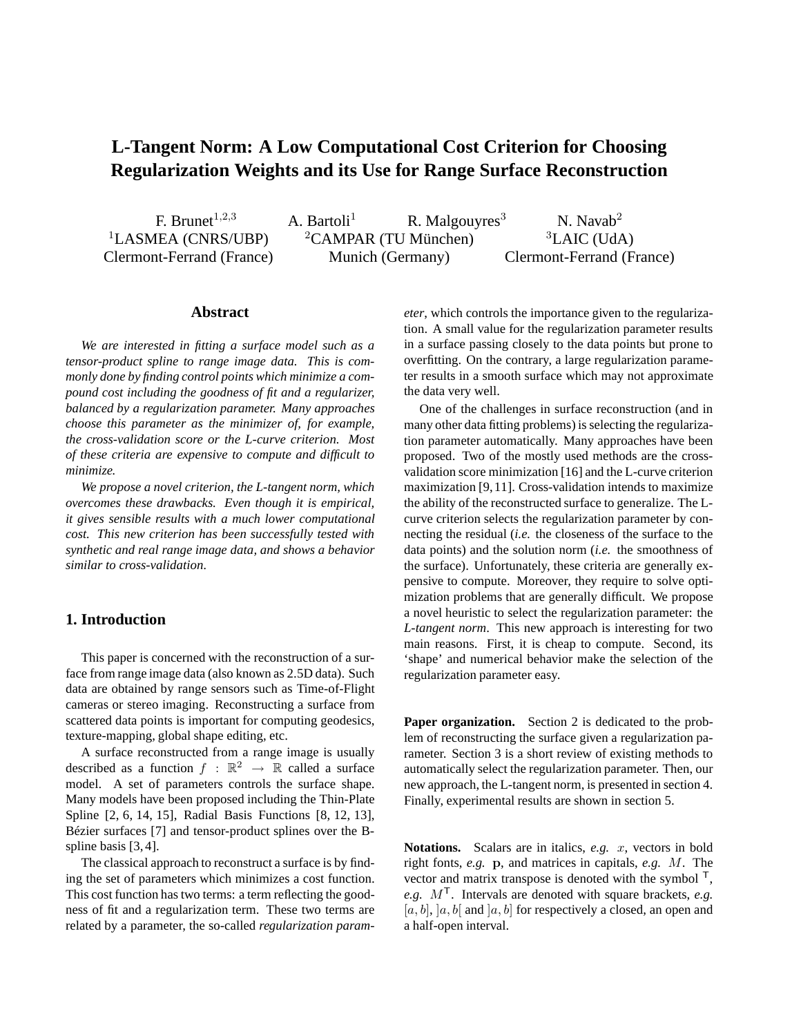# **L-Tangent Norm: A Low Computational Cost Criterion for Choosing Regularization Weights and its Use for Range Surface Reconstruction**

Clermont-Ferrand (France) Munich (Germany) Clermont-Ferrand (France)

F. Brunet<sup>1,2,3</sup> A. Bartoli<sup>1</sup> R. Malgouyres<sup>3</sup> N. Navab<sup>2</sup>  ${}^{1}$ LASMEA (CNRS/UBP)  ${}^{2}$ CAMPAR (TU München)  ${}^{3}$ LAIC (UdA)

# **Abstract**

*We are interested in fitting a surface model such as a tensor-product spline to range image data. This is commonly done by finding control points which minimize a compound cost including the goodness of fit and a regularizer, balanced by a regularization parameter. Many approaches choose this parameter as the minimizer of, for example, the cross-validation score or the L-curve criterion. Most of these criteria are expensive to compute and difficult to minimize.*

*We propose a novel criterion, the L-tangent norm, which overcomes these drawbacks. Even though it is empirical, it gives sensible results with a much lower computational cost. This new criterion has been successfully tested with synthetic and real range image data, and shows a behavior similar to cross-validation.*

# **1. Introduction**

This paper is concerned with the reconstruction of a surface from range image data (also known as 2.5D data). Such data are obtained by range sensors such as Time-of-Flight cameras or stereo imaging. Reconstructing a surface from scattered data points is important for computing geodesics, texture-mapping, global shape editing, etc.

A surface reconstructed from a range image is usually described as a function  $f : \mathbb{R}^2 \to \mathbb{R}$  called a surface model. A set of parameters controls the surface shape. Many models have been proposed including the Thin-Plate Spline [2, 6, 14, 15], Radial Basis Functions [8, 12, 13], Bézier surfaces [7] and tensor-product splines over the Bspline basis [3, 4].

The classical approach to reconstruct a surface is by finding the set of parameters which minimizes a cost function. This cost function has two terms: a term reflecting the goodness of fit and a regularization term. These two terms are related by a parameter, the so-called *regularization param-* *eter*, which controls the importance given to the regularization. A small value for the regularization parameter results in a surface passing closely to the data points but prone to overfitting. On the contrary, a large regularization parameter results in a smooth surface which may not approximate the data very well.

One of the challenges in surface reconstruction (and in many other data fitting problems) is selecting the regularization parameter automatically. Many approaches have been proposed. Two of the mostly used methods are the crossvalidation score minimization [16] and the L-curve criterion maximization [9,11]. Cross-validation intends to maximize the ability of the reconstructed surface to generalize. The Lcurve criterion selects the regularization parameter by connecting the residual (*i.e.* the closeness of the surface to the data points) and the solution norm (*i.e.* the smoothness of the surface). Unfortunately, these criteria are generally expensive to compute. Moreover, they require to solve optimization problems that are generally difficult. We propose a novel heuristic to select the regularization parameter: the *L-tangent norm*. This new approach is interesting for two main reasons. First, it is cheap to compute. Second, its 'shape' and numerical behavior make the selection of the regularization parameter easy.

**Paper organization.** Section 2 is dedicated to the problem of reconstructing the surface given a regularization parameter. Section 3 is a short review of existing methods to automatically select the regularization parameter. Then, our new approach, the L-tangent norm, is presented in section 4. Finally, experimental results are shown in section 5.

**Notations.** Scalars are in italics, *e.g.* x, vectors in bold right fonts, *e.g.* p, and matrices in capitals, *e.g.* M. The vector and matrix transpose is denoted with the symbol  $\mathsf{F}$ , *e.g.* M<sup>T</sup>. Intervals are denoted with square brackets, *e.g.*  $[a, b], [a, b]$  and  $[a, b]$  for respectively a closed, an open and a half-open interval.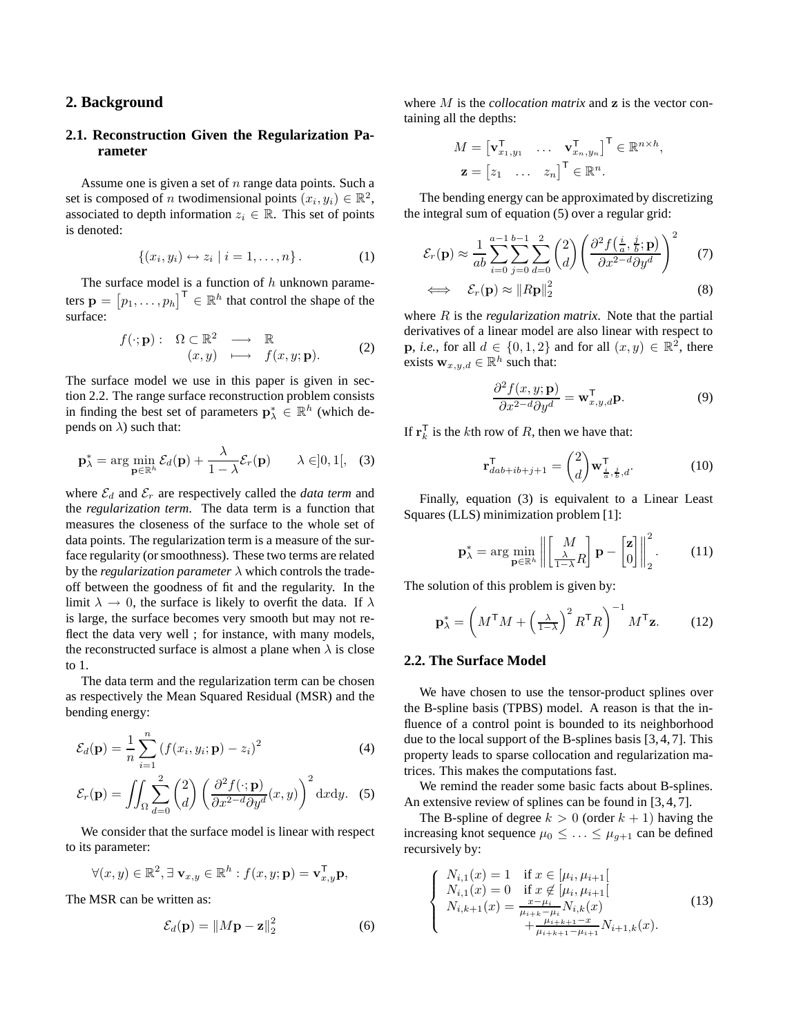# **2. Background**

# **2.1. Reconstruction Given the Regularization Parameter**

Assume one is given a set of  $n$  range data points. Such a set is composed of *n* twodimensional points  $(x_i, y_i) \in \mathbb{R}^2$ , associated to depth information  $z_i \in \mathbb{R}$ . This set of points is denoted:

$$
\{(x_i, y_i) \leftrightarrow z_i \mid i = 1, \dots, n\}.
$$
 (1)

The surface model is a function of  $h$  unknown parameters  $\mathbf{p} = [p_1, \dots, p_h]^\mathsf{T} \in \mathbb{R}^h$  that control the shape of the surface:

$$
f(\cdot; \mathbf{p}) : \Omega \subset \mathbb{R}^2 \longrightarrow \mathbb{R} (x, y) \longmapsto f(x, y; \mathbf{p}).
$$
 (2)

The surface model we use in this paper is given in section 2.2. The range surface reconstruction problem consists in finding the best set of parameters  $\mathbf{p}_{\lambda}^{*} \in \mathbb{R}^{h}$  (which depends on  $\lambda$ ) such that:

$$
\mathbf{p}_{\lambda}^{*} = \arg\min_{\mathbf{p}\in\mathbb{R}^{h}} \mathcal{E}_{d}(\mathbf{p}) + \frac{\lambda}{1-\lambda} \mathcal{E}_{r}(\mathbf{p}) \qquad \lambda \in ]0,1[, \quad (3)
$$

where  $\mathcal{E}_d$  and  $\mathcal{E}_r$  are respectively called the *data term* and the *regularization term*. The data term is a function that measures the closeness of the surface to the whole set of data points. The regularization term is a measure of the surface regularity (or smoothness). These two terms are related by the *regularization parameter*  $\lambda$  which controls the tradeoff between the goodness of fit and the regularity. In the limit  $\lambda \to 0$ , the surface is likely to overfit the data. If  $\lambda$ is large, the surface becomes very smooth but may not reflect the data very well ; for instance, with many models, the reconstructed surface is almost a plane when  $\lambda$  is close to 1.

The data term and the regularization term can be chosen as respectively the Mean Squared Residual (MSR) and the bending energy:

$$
\mathcal{E}_d(\mathbf{p}) = \frac{1}{n} \sum_{i=1}^n (f(x_i, y_i; \mathbf{p}) - z_i)^2
$$
 (4)

$$
\mathcal{E}_r(\mathbf{p}) = \iint_{\Omega} \sum_{d=0}^2 \binom{2}{d} \left( \frac{\partial^2 f(\cdot; \mathbf{p})}{\partial x^{2-d} \partial y^d}(x, y) \right)^2 dxdy. \tag{5}
$$

We consider that the surface model is linear with respect to its parameter:

$$
\forall (x, y) \in \mathbb{R}^2, \exists \mathbf{v}_{x,y} \in \mathbb{R}^h : f(x, y; \mathbf{p}) = \mathbf{v}_{x,y}^{\mathsf{T}} \mathbf{p},
$$

The MSR can be written as:

$$
\mathcal{E}_d(\mathbf{p}) = \|M\mathbf{p} - \mathbf{z}\|_2^2 \tag{6}
$$

where M is the *collocation matrix* and **z** is the vector containing all the depths:

$$
M = \begin{bmatrix} \mathbf{v}_{x_1,y_1}^{\mathsf{T}} & \cdots & \mathbf{v}_{x_n,y_n}^{\mathsf{T}} \end{bmatrix}^{\mathsf{T}} \in \mathbb{R}^{n \times h},
$$
  

$$
\mathbf{z} = \begin{bmatrix} z_1 & \cdots & z_n \end{bmatrix}^{\mathsf{T}} \in \mathbb{R}^n.
$$

The bending energy can be approximated by discretizing the integral sum of equation (5) over a regular grid:

$$
\mathcal{E}_r(\mathbf{p}) \approx \frac{1}{ab} \sum_{i=0}^{a-1} \sum_{j=0}^{b-1} \sum_{d=0}^2 \binom{2}{d} \left( \frac{\partial^2 f(\frac{i}{a}, \frac{j}{b}; \mathbf{p})}{\partial x^{2-d} \partial y^d} \right)^2 \tag{7}
$$

$$
\iff \quad \mathcal{E}_r(\mathbf{p}) \approx ||R\mathbf{p}||_2^2 \tag{8}
$$

where R is the *regularization matrix*. Note that the partial derivatives of a linear model are also linear with respect to **p**, *i.e.*, for all  $d \in \{0, 1, 2\}$  and for all  $(x, y) \in \mathbb{R}^2$ , there exists  $\mathbf{w}_{x,y,d} \in \mathbb{R}^h$  such that:

$$
\frac{\partial^2 f(x, y; \mathbf{p})}{\partial x^2 - d \partial y^d} = \mathbf{w}_{x, y, d}^\mathsf{T} \mathbf{p}.
$$
 (9)

If  $\mathbf{r}_k^{\mathsf{T}}$  $\overline{k}$  is the *k*th row of *R*, then we have that:

$$
\mathbf{r}_{dab+ib+j+1}^{\mathsf{T}} = \begin{pmatrix} 2 \\ d \end{pmatrix} \mathbf{w}_{\frac{i}{a},\frac{j}{b},d}^{\mathsf{T}}.
$$
 (10)

Finally, equation (3) is equivalent to a Linear Least Squares (LLS) minimization problem [1]:

$$
\mathbf{p}_{\lambda}^{*} = \arg\min_{\mathbf{p} \in \mathbb{R}^{h}} \left\| \begin{bmatrix} M \\ \frac{\lambda}{1-\lambda} R \end{bmatrix} \mathbf{p} - \begin{bmatrix} \mathbf{z} \\ 0 \end{bmatrix} \right\|_{2}^{2}.
$$
 (11)

The solution of this problem is given by:

$$
\mathbf{p}_{\lambda}^{*} = \left(M^{\mathsf{T}}M + \left(\frac{\lambda}{1-\lambda}\right)^{2}R^{\mathsf{T}}R\right)^{-1}M^{\mathsf{T}}\mathbf{z}.\tag{12}
$$

### **2.2. The Surface Model**

We have chosen to use the tensor-product splines over the B-spline basis (TPBS) model. A reason is that the influence of a control point is bounded to its neighborhood due to the local support of the B-splines basis [3, 4, 7]. This property leads to sparse collocation and regularization matrices. This makes the computations fast.

We remind the reader some basic facts about B-splines. An extensive review of splines can be found in [3, 4, 7].

The B-spline of degree  $k > 0$  (order  $k + 1$ ) having the increasing knot sequence  $\mu_0 \leq \ldots \leq \mu_{g+1}$  can be defined recursively by:

$$
\begin{cases}\nN_{i,1}(x) = 1 & \text{if } x \in [\mu_i, \mu_{i+1}] \\
N_{i,1}(x) = 0 & \text{if } x \notin [\mu_i, \mu_{i+1}] \\
N_{i,k+1}(x) = \frac{x - \mu_i}{\mu_{i+k} - \mu_i} N_{i,k}(x) \\
+ \frac{\mu_{i+k+1} - x}{\mu_{i+k+1} - \mu_{i+1}} N_{i+1,k}(x).\n\end{cases}
$$
\n(13)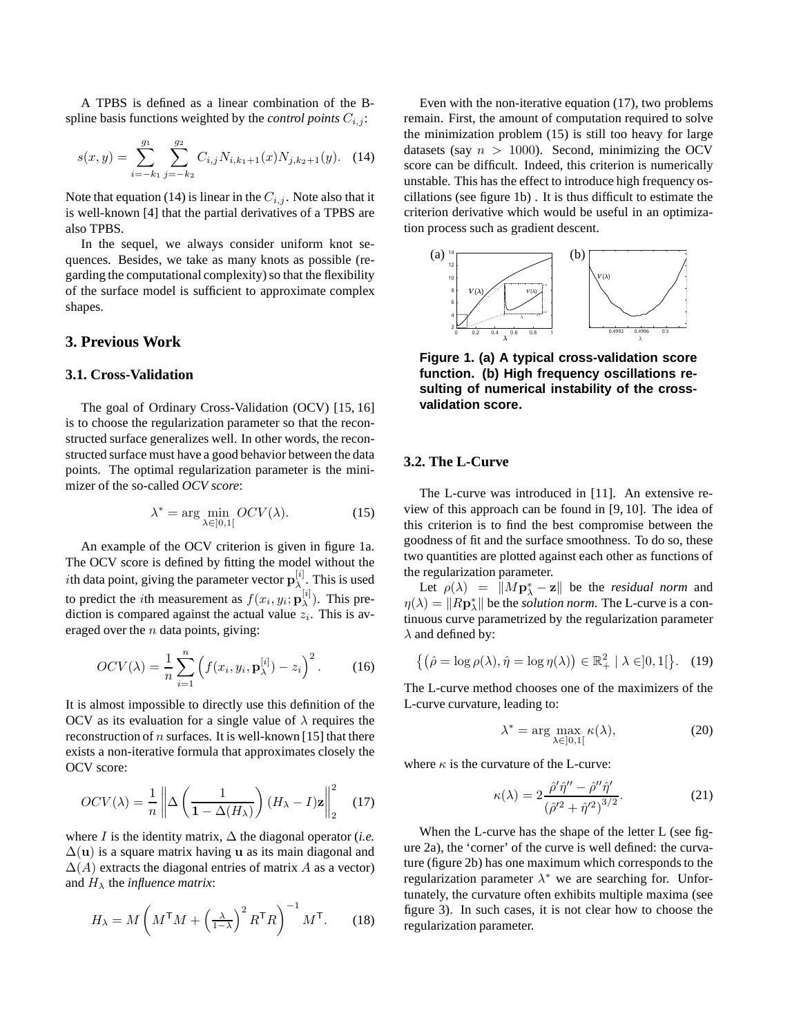A TPBS is defined as a linear combination of the Bspline basis functions weighted by the *control points*  $C_{i,j}$ :

$$
s(x,y) = \sum_{i=-k_1}^{g_1} \sum_{j=-k_2}^{g_2} C_{i,j} N_{i,k_1+1}(x) N_{j,k_2+1}(y). \quad (14)
$$

Note that equation (14) is linear in the  $C_{i,j}$ . Note also that it is well-known [4] that the partial derivatives of a TPBS are also TPBS.

In the sequel, we always consider uniform knot sequences. Besides, we take as many knots as possible (regarding the computational complexity) so that the flexibility of the surface model is sufficient to approximate complex shapes.

# **3. Previous Work**

## **3.1. Cross-Validation**

The goal of Ordinary Cross-Validation (OCV) [15, 16] is to choose the regularization parameter so that the reconstructed surface generalizes well. In other words, the reconstructed surface must have a good behavior between the data points. The optimal regularization parameter is the minimizer of the so-called *OCV score*:

$$
\lambda^* = \arg\min_{\lambda \in ]0,1[} OCV(\lambda). \tag{15}
$$

An example of the OCV criterion is given in figure 1a. The OCV score is defined by fitting the model without the *i*th data point, giving the parameter vector  $\mathbf{p}_{\lambda}^{[i]}$  $\lambda$ . This is used to predict the *i*th measurement as  $f(x_i, y_i; \mathbf{p}_{\lambda}^{[i]})$  $\lambda^{[i]}$ ). This prediction is compared against the actual value  $z_i$ . This is averaged over the  $n$  data points, giving:

$$
OCV(\lambda) = \frac{1}{n} \sum_{i=1}^{n} \left( f(x_i, y_i, \mathbf{p}_{\lambda}^{[i]}) - z_i \right)^2.
$$
 (16)

It is almost impossible to directly use this definition of the OCV as its evaluation for a single value of  $\lambda$  requires the reconstruction of  $n$  surfaces. It is well-known [15] that there exists a non-iterative formula that approximates closely the OCV score:

$$
OCV(\lambda) = \frac{1}{n} \left\| \Delta \left( \frac{1}{1 - \Delta(H_{\lambda})} \right) (H_{\lambda} - I)\mathbf{z} \right\|_{2}^{2} \quad (17)
$$

where *I* is the identity matrix,  $\Delta$  the diagonal operator (*i.e.*  $\Delta$ (**u**) is a square matrix having **u** as its main diagonal and  $\Delta(A)$  extracts the diagonal entries of matrix A as a vector) and  $H_{\lambda}$  the *influence matrix*:

$$
H_{\lambda} = M \left( M^{\mathsf{T}} M + \left( \frac{\lambda}{1 - \lambda} \right)^2 R^{\mathsf{T}} R \right)^{-1} M^{\mathsf{T}}.
$$
 (18)

Even with the non-iterative equation (17), two problems remain. First, the amount of computation required to solve the minimization problem (15) is still too heavy for large datasets (say  $n > 1000$ ). Second, minimizing the OCV score can be difficult. Indeed, this criterion is numerically unstable. This has the effect to introduce high frequency oscillations (see figure 1b) . It is thus difficult to estimate the criterion derivative which would be useful in an optimization process such as gradient descent.



**Figure 1. (a) A typical cross-validation score function. (b) High frequency oscillations resulting of numerical instability of the crossvalidation score.**

# **3.2. The L-Curve**

The L-curve was introduced in [11]. An extensive review of this approach can be found in [9, 10]. The idea of this criterion is to find the best compromise between the goodness of fit and the surface smoothness. To do so, these two quantities are plotted against each other as functions of the regularization parameter.

Let  $\rho(\lambda) = ||M\mathbf{p}_{\lambda}^* - \mathbf{z}||$  be the *residual norm* and  $\eta(\lambda) = ||R\mathbf{p}_{\lambda}^*||$  be the *solution norm*. The L-curve is a continuous curve parametrized by the regularization parameter  $\lambda$  and defined by:

$$
\left\{ \left( \hat{\rho} = \log \rho(\lambda), \hat{\eta} = \log \eta(\lambda) \right) \in \mathbb{R}_+^2 \mid \lambda \in ]0, 1[ \right\}. (19)
$$

The L-curve method chooses one of the maximizers of the L-curve curvature, leading to:

$$
\lambda^* = \arg \max_{\lambda \in ]0,1[} \kappa(\lambda), \tag{20}
$$

where  $\kappa$  is the curvature of the L-curve:

$$
\kappa(\lambda) = 2 \frac{\hat{\rho}' \hat{\eta}'' - \hat{\rho}'' \hat{\eta}'}{\left(\hat{\rho}'^2 + \hat{\eta}'^2\right)^{3/2}}.
$$
\n(21)

When the L-curve has the shape of the letter L (see figure 2a), the 'corner' of the curve is well defined: the curvature (figure 2b) has one maximum which corresponds to the regularization parameter  $\lambda^*$  we are searching for. Unfortunately, the curvature often exhibits multiple maxima (see figure 3). In such cases, it is not clear how to choose the regularization parameter.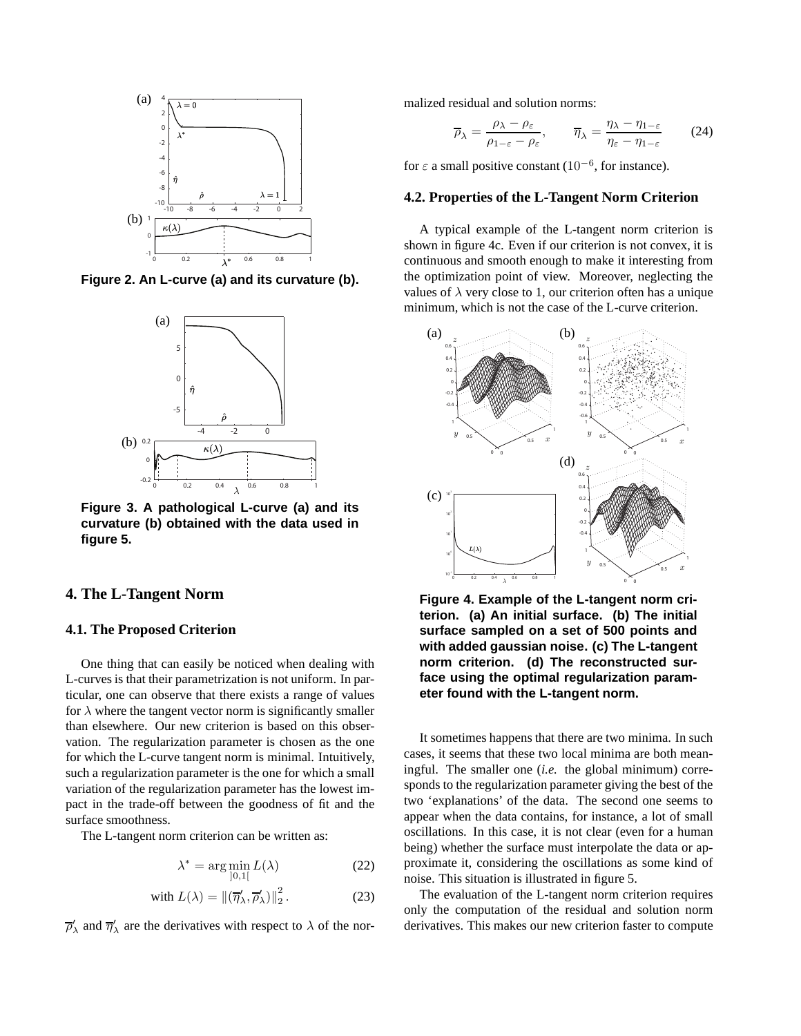

**Figure 2. An L-curve (a) and its curvature (b).**



**Figure 3. A pathological L-curve (a) and its curvature (b) obtained with the data used in figure 5.**

## **4. The L-Tangent Norm**

#### **4.1. The Proposed Criterion**

One thing that can easily be noticed when dealing with L-curves is that their parametrization is not uniform. In particular, one can observe that there exists a range of values for  $\lambda$  where the tangent vector norm is significantly smaller than elsewhere. Our new criterion is based on this observation. The regularization parameter is chosen as the one for which the L-curve tangent norm is minimal. Intuitively, such a regularization parameter is the one for which a small variation of the regularization parameter has the lowest impact in the trade-off between the goodness of fit and the surface smoothness.

The L-tangent norm criterion can be written as:

$$
\lambda^* = \arg\min_{]0,1[} L(\lambda)
$$
 (22)

with 
$$
L(\lambda) = ||(\overline{\eta}'_{\lambda}, \overline{\rho}'_{\lambda})||_2^2
$$
. (23)

 $\overline{\rho}_{\lambda}'$  and  $\overline{\eta}_{\lambda}'$  are the derivatives with respect to  $\lambda$  of the nor-

malized residual and solution norms:

$$
\overline{\rho}_{\lambda} = \frac{\rho_{\lambda} - \rho_{\varepsilon}}{\rho_{1-\varepsilon} - \rho_{\varepsilon}}, \qquad \overline{\eta}_{\lambda} = \frac{\eta_{\lambda} - \eta_{1-\varepsilon}}{\eta_{\varepsilon} - \eta_{1-\varepsilon}} \tag{24}
$$

for  $\varepsilon$  a small positive constant (10<sup>-6</sup>, for instance).

#### **4.2. Properties of the L-Tangent Norm Criterion**

A typical example of the L-tangent norm criterion is shown in figure 4c. Even if our criterion is not convex, it is continuous and smooth enough to make it interesting from the optimization point of view. Moreover, neglecting the values of  $\lambda$  very close to 1, our criterion often has a unique minimum, which is not the case of the L-curve criterion.



**Figure 4. Example of the L-tangent norm criterion. (a) An initial surface. (b) The initial surface sampled on a set of 500 points and with added gaussian noise. (c) The L-tangent norm criterion. (d) The reconstructed surface using the optimal regularization parameter found with the L-tangent norm.**

It sometimes happens that there are two minima. In such cases, it seems that these two local minima are both meaningful. The smaller one (*i.e.* the global minimum) corresponds to the regularization parameter giving the best of the two 'explanations' of the data. The second one seems to appear when the data contains, for instance, a lot of small oscillations. In this case, it is not clear (even for a human being) whether the surface must interpolate the data or approximate it, considering the oscillations as some kind of noise. This situation is illustrated in figure 5.

The evaluation of the L-tangent norm criterion requires only the computation of the residual and solution norm derivatives. This makes our new criterion faster to compute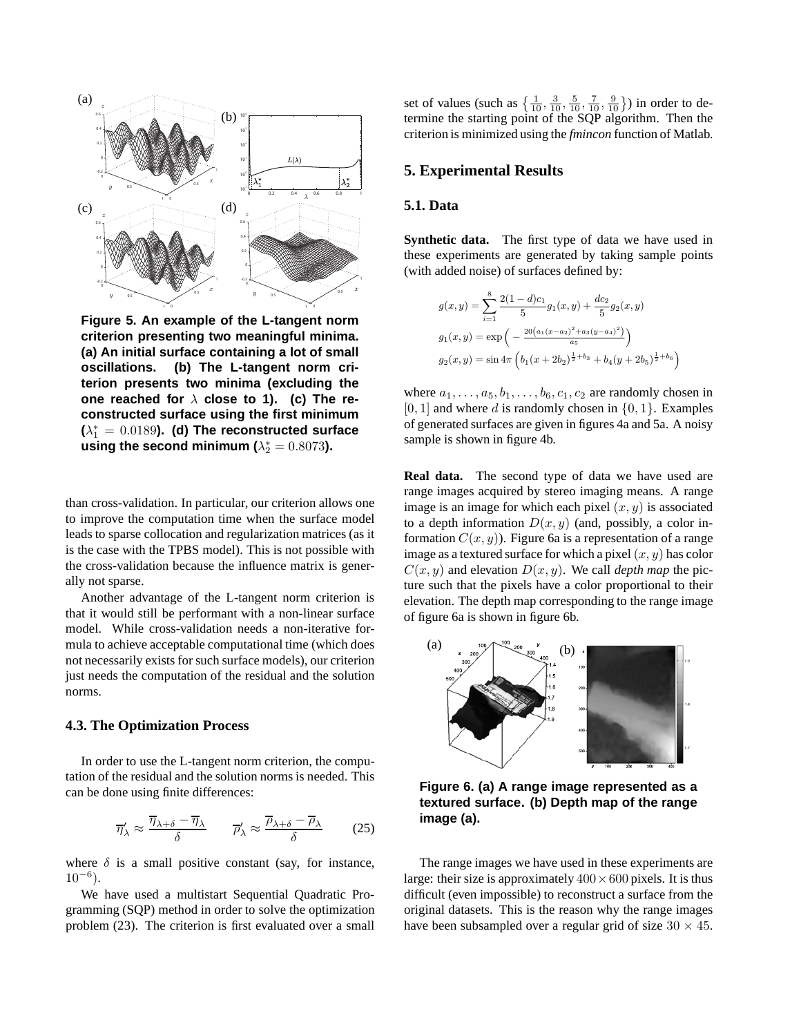

**Figure 5. An example of the L-tangent norm criterion presenting two meaningful minima. (a) An initial surface containing a lot of small oscillations. (b) The L-tangent norm criterion presents two minima (excluding the one reached for** λ **close to 1). (c) The reconstructed surface using the first minimum**  $(\lambda_1^* = 0.0189)$ . (d) The reconstructed surface using the second minimum ( $\lambda_2^* = 0.8073$ ).

than cross-validation. In particular, our criterion allows one to improve the computation time when the surface model leads to sparse collocation and regularization matrices (as it is the case with the TPBS model). This is not possible with the cross-validation because the influence matrix is generally not sparse.

Another advantage of the L-tangent norm criterion is that it would still be performant with a non-linear surface model. While cross-validation needs a non-iterative formula to achieve acceptable computational time (which does not necessarily exists for such surface models), our criterion just needs the computation of the residual and the solution norms.

# **4.3. The Optimization Process**

In order to use the L-tangent norm criterion, the computation of the residual and the solution norms is needed. This can be done using finite differences:

$$
\overline{\eta}_{\lambda}' \approx \frac{\overline{\eta}_{\lambda+\delta} - \overline{\eta}_{\lambda}}{\delta} \qquad \overline{\rho}_{\lambda}' \approx \frac{\overline{\rho}_{\lambda+\delta} - \overline{\rho}_{\lambda}}{\delta} \qquad (25)
$$

where  $\delta$  is a small positive constant (say, for instance,  $10^{-6}$ ).

We have used a multistart Sequential Quadratic Programming (SQP) method in order to solve the optimization problem (23). The criterion is first evaluated over a small

set of values (such as  $\{\frac{1}{10}, \frac{3}{10}, \frac{5}{10}, \frac{7}{10}, \frac{9}{10}\}\)$  in order to determine the starting point of the SQP algorithm. Then the criterion is minimized using the *fmincon* function of Matlab.

# **5. Experimental Results**

### **5.1. Data**

**Synthetic data.** The first type of data we have used in these experiments are generated by taking sample points (with added noise) of surfaces defined by:

$$
g(x,y) = \sum_{i=1}^{8} \frac{2(1-d)c_1}{5} g_1(x,y) + \frac{dc_2}{5} g_2(x,y)
$$
  
\n
$$
g_1(x,y) = \exp\left(-\frac{20(a_1(x-a_2)^2 + a_3(y-a_4)^2)}{a_5}\right)
$$
  
\n
$$
g_2(x,y) = \sin 4\pi \left(b_1(x+2b_2)^{\frac{1}{2}+b_3} + b_4(y+2b_5)^{\frac{1}{2}+b_6}\right)
$$

where  $a_1, \ldots, a_5, b_1, \ldots, b_6, c_1, c_2$  are randomly chosen in  $[0, 1]$  and where d is randomly chosen in  $\{0, 1\}$ . Examples of generated surfaces are given in figures 4a and 5a. A noisy sample is shown in figure 4b.

**Real data.** The second type of data we have used are range images acquired by stereo imaging means. A range image is an image for which each pixel  $(x, y)$  is associated to a depth information  $D(x, y)$  (and, possibly, a color information  $C(x, y)$ . Figure 6a is a representation of a range image as a textured surface for which a pixel  $(x, y)$  has color  $C(x, y)$  and elevation  $D(x, y)$ . We call *depth map* the picture such that the pixels have a color proportional to their elevation. The depth map corresponding to the range image of figure 6a is shown in figure 6b.



**Figure 6. (a) A range image represented as a textured surface. (b) Depth map of the range image (a).**

The range images we have used in these experiments are large: their size is approximately  $400 \times 600$  pixels. It is thus difficult (even impossible) to reconstruct a surface from the original datasets. This is the reason why the range images have been subsampled over a regular grid of size  $30 \times 45$ .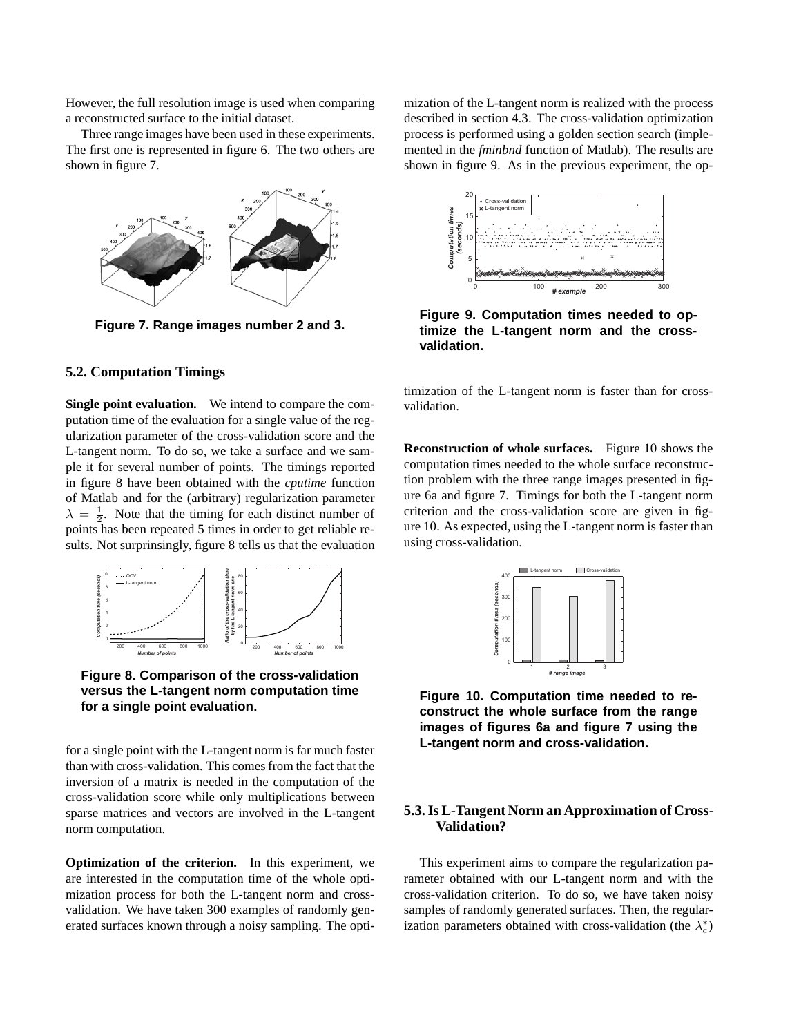However, the full resolution image is used when comparing a reconstructed surface to the initial dataset.

Three range images have been used in these experiments. The first one is represented in figure 6. The two others are shown in figure 7.



**Figure 7. Range images number 2 and 3.**

## **5.2. Computation Timings**

**Single point evaluation.** We intend to compare the computation time of the evaluation for a single value of the regularization parameter of the cross-validation score and the L-tangent norm. To do so, we take a surface and we sample it for several number of points. The timings reported in figure 8 have been obtained with the *cputime* function of Matlab and for the (arbitrary) regularization parameter  $\lambda = \frac{1}{2}$ . Note that the timing for each distinct number of points has been repeated 5 times in order to get reliable results. Not surprinsingly, figure 8 tells us that the evaluation



**Figure 8. Comparison of the cross-validation versus the L-tangent norm computation time for a single point evaluation.**

for a single point with the L-tangent norm is far much faster than with cross-validation. This comes from the fact that the inversion of a matrix is needed in the computation of the cross-validation score while only multiplications between sparse matrices and vectors are involved in the L-tangent norm computation.

**Optimization of the criterion.** In this experiment, we are interested in the computation time of the whole optimization process for both the L-tangent norm and crossvalidation. We have taken 300 examples of randomly generated surfaces known through a noisy sampling. The optimization of the L-tangent norm is realized with the process described in section 4.3. The cross-validation optimization process is performed using a golden section search (implemented in the *fminbnd* function of Matlab). The results are shown in figure 9. As in the previous experiment, the op-



**Figure 9. Computation times needed to optimize the L-tangent norm and the crossvalidation.**

timization of the L-tangent norm is faster than for crossvalidation.

**Reconstruction of whole surfaces.** Figure 10 shows the computation times needed to the whole surface reconstruction problem with the three range images presented in figure 6a and figure 7. Timings for both the L-tangent norm criterion and the cross-validation score are given in figure 10. As expected, using the L-tangent norm is faster than using cross-validation.



**Figure 10. Computation time needed to reconstruct the whole surface from the range images of figures 6a and figure 7 using the L-tangent norm and cross-validation.**

# **5.3. Is L-Tangent Norm an Approximation of Cross-Validation?**

This experiment aims to compare the regularization parameter obtained with our L-tangent norm and with the cross-validation criterion. To do so, we have taken noisy samples of randomly generated surfaces. Then, the regularization parameters obtained with cross-validation (the  $\lambda_c^*$ )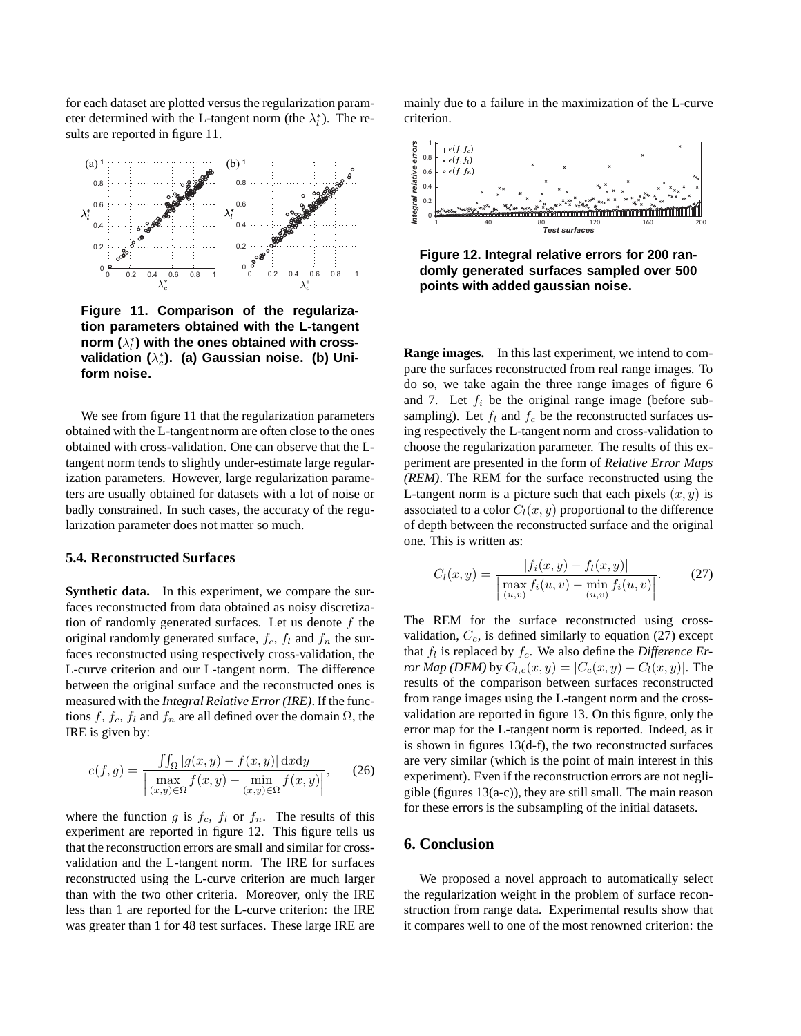for each dataset are plotted versus the regularization parameter determined with the L-tangent norm (the  $\lambda_i^*$ ). The results are reported in figure 11.



**Figure 11. Comparison of the regularization parameters obtained with the L-tangent**  $\mathsf{norm}\left(\lambda_{l}^{*}\right)$  with the ones obtained with cross**validation (** $\lambda_c^*$ **). (a) Gaussian noise. (b) Uniform noise.**

We see from figure 11 that the regularization parameters obtained with the L-tangent norm are often close to the ones obtained with cross-validation. One can observe that the Ltangent norm tends to slightly under-estimate large regularization parameters. However, large regularization parameters are usually obtained for datasets with a lot of noise or badly constrained. In such cases, the accuracy of the regularization parameter does not matter so much.

#### **5.4. Reconstructed Surfaces**

**Synthetic data.** In this experiment, we compare the surfaces reconstructed from data obtained as noisy discretization of randomly generated surfaces. Let us denote  $f$  the original randomly generated surface,  $f_c$ ,  $f_l$  and  $f_n$  the surfaces reconstructed using respectively cross-validation, the L-curve criterion and our L-tangent norm. The difference between the original surface and the reconstructed ones is measured with the *Integral Relative Error (IRE)*. If the functions f,  $f_c$ ,  $f_l$  and  $f_n$  are all defined over the domain  $\Omega$ , the IRE is given by:

$$
e(f,g) = \frac{\iint_{\Omega} |g(x,y) - f(x,y)| \,dxdy}{\left| \max_{(x,y) \in \Omega} f(x,y) - \min_{(x,y) \in \Omega} f(x,y) \right|},\qquad(26)
$$

where the function g is  $f_c$ ,  $f_l$  or  $f_n$ . The results of this experiment are reported in figure 12. This figure tells us that the reconstruction errors are small and similar for crossvalidation and the L-tangent norm. The IRE for surfaces reconstructed using the L-curve criterion are much larger than with the two other criteria. Moreover, only the IRE less than 1 are reported for the L-curve criterion: the IRE was greater than 1 for 48 test surfaces. These large IRE are

mainly due to a failure in the maximization of the L-curve criterion.



**Figure 12. Integral relative errors for 200 randomly generated surfaces sampled over 500 points with added gaussian noise.**

**Range images.** In this last experiment, we intend to compare the surfaces reconstructed from real range images. To do so, we take again the three range images of figure 6 and 7. Let  $f_i$  be the original range image (before subsampling). Let  $f_l$  and  $f_c$  be the reconstructed surfaces using respectively the L-tangent norm and cross-validation to choose the regularization parameter. The results of this experiment are presented in the form of *Relative Error Maps (REM)*. The REM for the surface reconstructed using the L-tangent norm is a picture such that each pixels  $(x, y)$  is associated to a color  $C_l(x, y)$  proportional to the difference of depth between the reconstructed surface and the original one. This is written as:

$$
C_l(x,y) = \frac{|f_i(x,y) - f_l(x,y)|}{\left|\max_{(u,v)} f_i(u,v) - \min_{(u,v)} f_i(u,v)\right|}.
$$
 (27)

The REM for the surface reconstructed using crossvalidation,  $C_c$ , is defined similarly to equation (27) except that  $f_l$  is replaced by  $f_c$ . We also define the *Difference Error Map (DEM)* by  $C_{l,c}(x, y) = |C_c(x, y) - C_l(x, y)|$ . The results of the comparison between surfaces reconstructed from range images using the L-tangent norm and the crossvalidation are reported in figure 13. On this figure, only the error map for the L-tangent norm is reported. Indeed, as it is shown in figures 13(d-f), the two reconstructed surfaces are very similar (which is the point of main interest in this experiment). Even if the reconstruction errors are not negligible (figures 13(a-c)), they are still small. The main reason for these errors is the subsampling of the initial datasets.

## **6. Conclusion**

We proposed a novel approach to automatically select the regularization weight in the problem of surface reconstruction from range data. Experimental results show that it compares well to one of the most renowned criterion: the